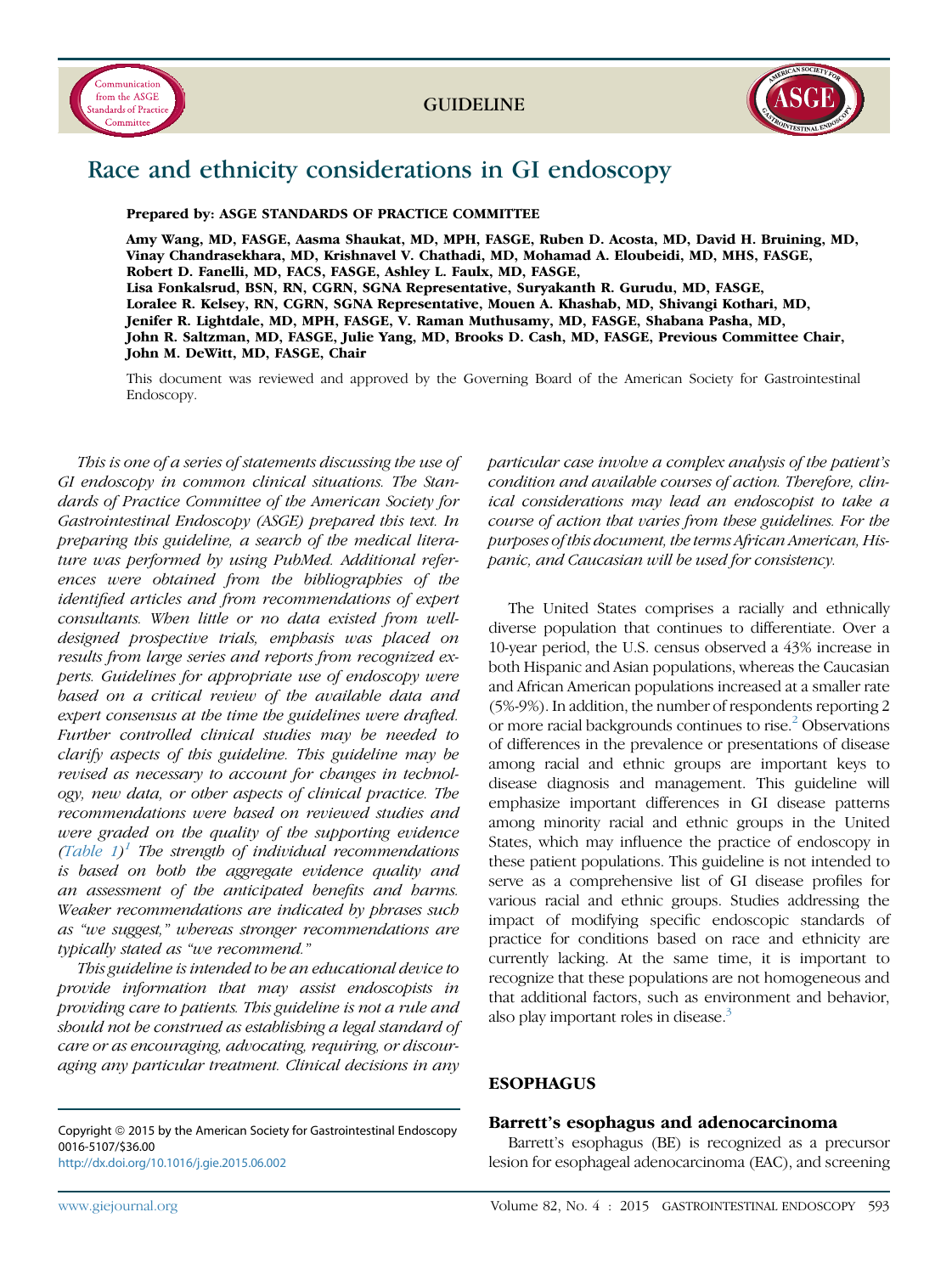



# Race and ethnicity considerations in GI endoscopy

Prepared by: ASGE STANDARDS OF PRACTICE COMMITTEE

Amy Wang, MD, FASGE, Aasma Shaukat, MD, MPH, FASGE, Ruben D. Acosta, MD, David H. Bruining, MD, Vinay Chandrasekhara, MD, Krishnavel V. Chathadi, MD, Mohamad A. Eloubeidi, MD, MHS, FASGE, Robert D. Fanelli, MD, FACS, FASGE, Ashley L. Faulx, MD, FASGE, Lisa Fonkalsrud, BSN, RN, CGRN, SGNA Representative, Suryakanth R. Gurudu, MD, FASGE, Loralee R. Kelsey, RN, CGRN, SGNA Representative, Mouen A. Khashab, MD, Shivangi Kothari, MD, Jenifer R. Lightdale, MD, MPH, FASGE, V. Raman Muthusamy, MD, FASGE, Shabana Pasha, MD, John R. Saltzman, MD, FASGE, Julie Yang, MD, Brooks D. Cash, MD, FASGE, Previous Committee Chair, John M. DeWitt, MD, FASGE, Chair

This document was reviewed and approved by the Governing Board of the American Society for Gastrointestinal Endoscopy.

This is one of a series of statements discussing the use of GI endoscopy in common clinical situations. The Standards of Practice Committee of the American Society for Gastrointestinal Endoscopy (ASGE) prepared this text. In preparing this guideline, a search of the medical literature was performed by using PubMed. Additional references were obtained from the bibliographies of the identified articles and from recommendations of expert consultants. When little or no data existed from welldesigned prospective trials, emphasis was placed on results from large series and reports from recognized experts. Guidelines for appropriate use of endoscopy were based on a critical review of the available data and expert consensus at the time the guidelines were drafted. Further controlled clinical studies may be needed to clarify aspects of this guideline. This guideline may be revised as necessary to account for changes in technology, new data, or other aspects of clinical practice. The recommendations were based on reviewed studies and were graded on the quality of the supporting evidence (Table  $1$ )<sup>1</sup> The strength of individual recommendations is based on both the aggregate evidence quality and an assessment of the anticipated benefits and harms. Weaker recommendations are indicated by phrases such as "we suggest," whereas stronger recommendations are typically stated as "we recommend."

This guideline is intended to be an educational device to provide information that may assist endoscopists in providing care to patients. This guideline is not a rule and should not be construed as establishing a legal standard of care or as encouraging, advocating, requiring, or discouraging any particular treatment. Clinical decisions in any

Copyright © 2015 by the American Society for Gastrointestinal Endoscopy 0016-5107/\$36.00 <http://dx.doi.org/10.1016/j.gie.2015.06.002>

particular case involve a complex analysis of the patient's condition and available courses of action. Therefore, clinical considerations may lead an endoscopist to take a course of action that varies from these guidelines. For the purposes of this document, the terms African American, Hispanic, and Caucasian will be used for consistency.

The United States comprises a racially and ethnically diverse population that continues to differentiate. Over a 10-year period, the U.S. census observed a 43% increase in both Hispanic and Asian populations, whereas the Caucasian and African American populations increased at a smaller rate (5%-9%). In addition, the number of respondents reporting 2 or more racial backgrounds continues to rise.<sup>[2](#page-4-0)</sup> Observations of differences in the prevalence or presentations of disease among racial and ethnic groups are important keys to disease diagnosis and management. This guideline will emphasize important differences in GI disease patterns among minority racial and ethnic groups in the United States, which may influence the practice of endoscopy in these patient populations. This guideline is not intended to serve as a comprehensive list of GI disease profiles for various racial and ethnic groups. Studies addressing the impact of modifying specific endoscopic standards of practice for conditions based on race and ethnicity are currently lacking. At the same time, it is important to recognize that these populations are not homogeneous and that additional factors, such as environment and behavior, also play important roles in disease.<sup>3</sup>

## ESOPHAGUS

## Barrett's esophagus and adenocarcinoma

Barrett's esophagus (BE) is recognized as a precursor lesion for esophageal adenocarcinoma (EAC), and screening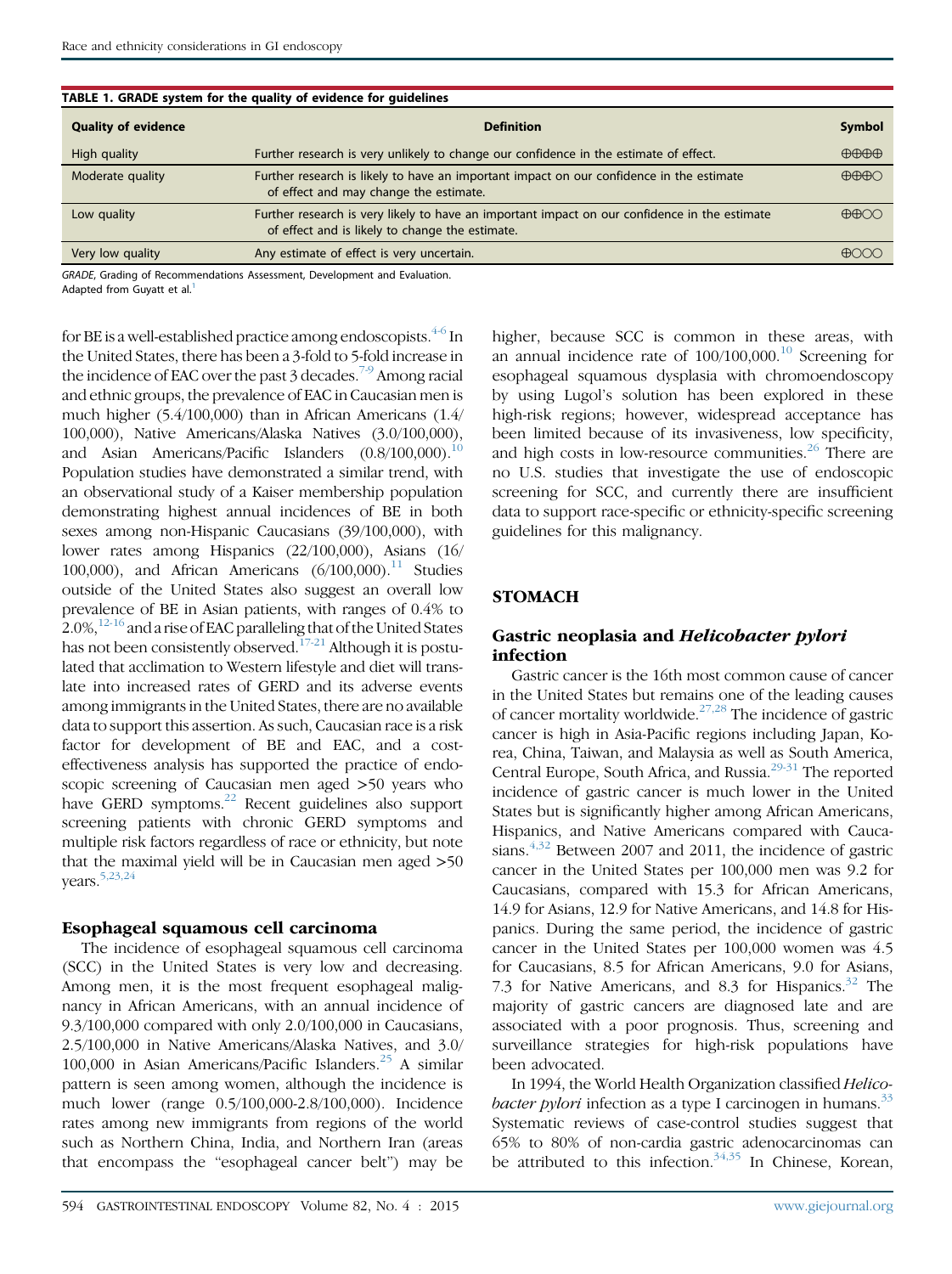| TABLE 1. GRADE system for the quality of evidence for guidelines |                                                                                                                                                  |                               |
|------------------------------------------------------------------|--------------------------------------------------------------------------------------------------------------------------------------------------|-------------------------------|
| <b>Quality of evidence</b>                                       | <b>Definition</b>                                                                                                                                | <b>Symbol</b>                 |
| High quality                                                     | Further research is very unlikely to change our confidence in the estimate of effect.                                                            | $\bigoplus\bigoplus\bigoplus$ |
| Moderate quality                                                 | Further research is likely to have an important impact on our confidence in the estimate<br>of effect and may change the estimate.               | $\bigoplus\bigoplus\bigodot$  |
| Low quality                                                      | Further research is very likely to have an important impact on our confidence in the estimate<br>of effect and is likely to change the estimate. | $\bigoplus$                   |
| Very low quality                                                 | Any estimate of effect is very uncertain.                                                                                                        | $\bigoplus$                   |
|                                                                  |                                                                                                                                                  |                               |

# <span id="page-1-0"></span>TABLE 1. GRADE system for the quality of evidence for guidelines

GRADE, Grading of Recommendations Assessment, Development and Evaluation. Adapted from Guvatt et al.<sup>[1](#page-4-0)</sup>

for BE is a well-established practice among endoscopists. $4-6$  In the United States, there has been a 3-fold to 5-fold increase in the incidence of EAC over the past 3 decades.<sup>[7-9](#page-4-0)</sup> Among racial and ethnic groups, the prevalence of EAC in Caucasian men is much higher (5.4/100,000) than in African Americans (1.4/ 100,000), Native Americans/Alaska Natives (3.0/100,000), and Asian Americans/Pacific Islanders  $(0.8/100,000).$ <sup>10</sup> Population studies have demonstrated a similar trend, with an observational study of a Kaiser membership population demonstrating highest annual incidences of BE in both sexes among non-Hispanic Caucasians (39/100,000), with lower rates among Hispanics (22/100,000), Asians (16/ 100,000), and African Americans  $(6/100,000)^{11}$  Studies outside of the United States also suggest an overall low prevalence of BE in Asian patients, with ranges of 0.4% to 2.0%, $12-16$  and a rise of EAC paralleling that of the United States has not been consistently observed.<sup>[17-21](#page-4-0)</sup> Although it is postulated that acclimation to Western lifestyle and diet will translate into increased rates of GERD and its adverse events among immigrants in the United States, there are no available data to support this assertion. As such, Caucasian race is a risk factor for development of BE and EAC, and a costeffectiveness analysis has supported the practice of endoscopic screening of Caucasian men aged >50 years who have GERD symptoms.<sup>[22](#page-4-0)</sup> Recent guidelines also support screening patients with chronic GERD symptoms and multiple risk factors regardless of race or ethnicity, but note that the maximal yield will be in Caucasian men aged >50 years[.5,23,24](#page-4-0)

## Esophageal squamous cell carcinoma

The incidence of esophageal squamous cell carcinoma (SCC) in the United States is very low and decreasing. Among men, it is the most frequent esophageal malignancy in African Americans, with an annual incidence of 9.3/100,000 compared with only 2.0/100,000 in Caucasians, 2.5/100,000 in Native Americans/Alaska Natives, and 3.0/ 100,000 in Asian Americans/Pacific Islanders. $25$  A similar pattern is seen among women, although the incidence is much lower (range 0.5/100,000-2.8/100,000). Incidence rates among new immigrants from regions of the world such as Northern China, India, and Northern Iran (areas that encompass the "esophageal cancer belt") may be

higher, because SCC is common in these areas, with an annual incidence rate of  $100/100,000$  $100/100,000$ .<sup>10</sup> Screening for esophageal squamous dysplasia with chromoendoscopy by using Lugol's solution has been explored in these high-risk regions; however, widespread acceptance has been limited because of its invasiveness, low specificity, and high costs in low-resource communities.<sup>[26](#page-5-0)</sup> There are no U.S. studies that investigate the use of endoscopic screening for SCC, and currently there are insufficient data to support race-specific or ethnicity-specific screening guidelines for this malignancy.

## **STOMACH**

## Gastric neoplasia and Helicobacter pylori infection

Gastric cancer is the 16th most common cause of cancer in the United States but remains one of the leading causes of cancer mortality worldwide.[27,28](#page-5-0) The incidence of gastric cancer is high in Asia-Pacific regions including Japan, Korea, China, Taiwan, and Malaysia as well as South America, Central Europe, South Africa, and Russia.<sup>[29-31](#page-5-0)</sup> The reported incidence of gastric cancer is much lower in the United States but is significantly higher among African Americans, Hispanics, and Native Americans compared with Caucasians. $4,32$  Between 2007 and 2011, the incidence of gastric cancer in the United States per 100,000 men was 9.2 for Caucasians, compared with 15.3 for African Americans, 14.9 for Asians, 12.9 for Native Americans, and 14.8 for Hispanics. During the same period, the incidence of gastric cancer in the United States per 100,000 women was 4.5 for Caucasians, 8.5 for African Americans, 9.0 for Asians, 7.3 for Native Americans, and 8.3 for Hispanics.<sup>[32](#page-5-0)</sup> The majority of gastric cancers are diagnosed late and are associated with a poor prognosis. Thus, screening and surveillance strategies for high-risk populations have been advocated.

In 1994, the World Health Organization classified Helico*bacter pylori* infection as a type I carcinogen in humans.<sup>[33](#page-5-0)</sup> Systematic reviews of case-control studies suggest that 65% to 80% of non-cardia gastric adenocarcinomas can be attributed to this infection.<sup>[34,35](#page-5-0)</sup> In Chinese, Korean,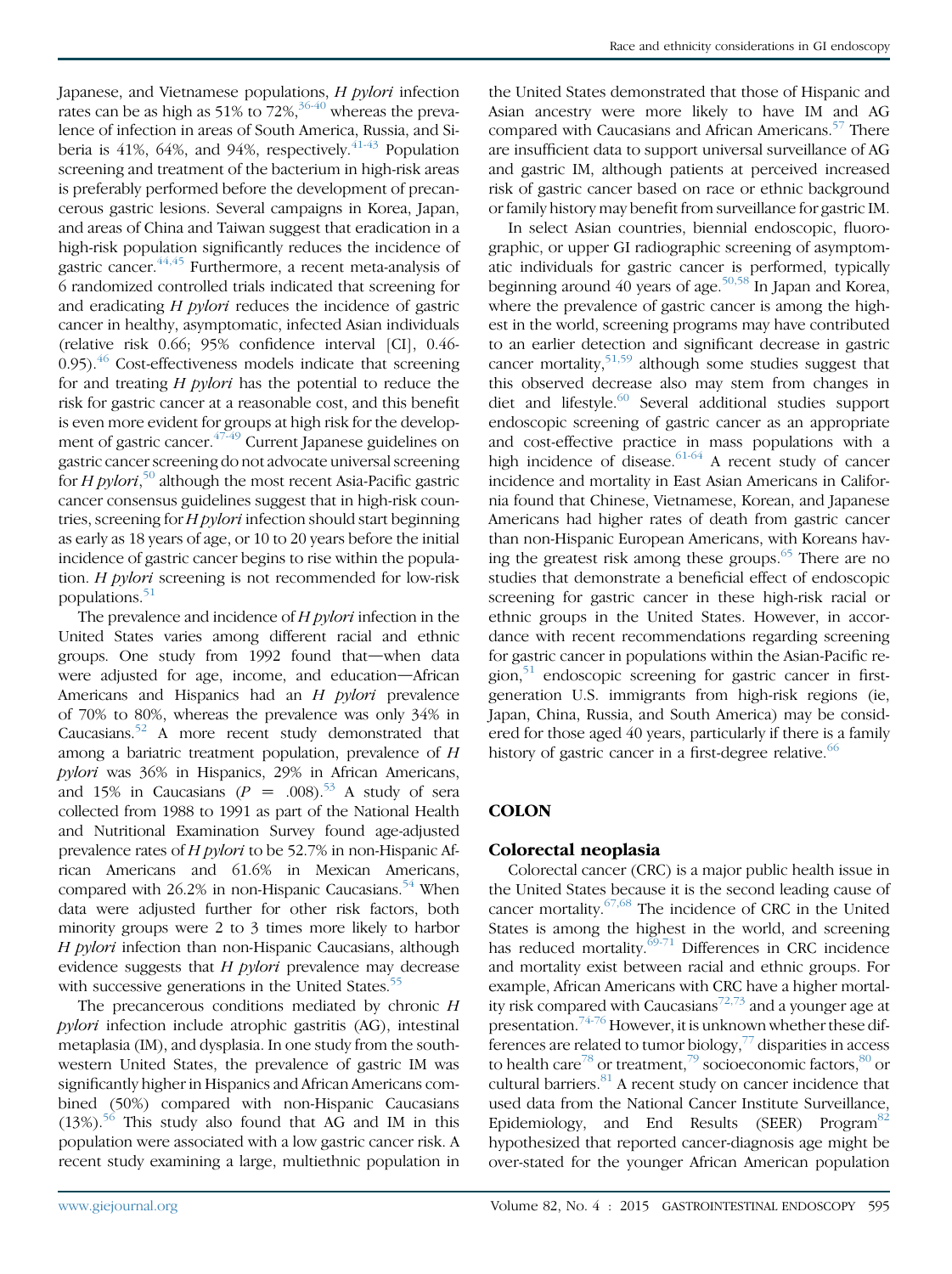Japanese, and Vietnamese populations, H pylori infection rates can be as high as  $51\%$  to  $72\%$ ,  $36-40$  whereas the prevalence of infection in areas of South America, Russia, and Siberia is  $41\%$ ,  $64\%$ , and  $94\%$ , respectively.  $41-43$  Population screening and treatment of the bacterium in high-risk areas is preferably performed before the development of precancerous gastric lesions. Several campaigns in Korea, Japan, and areas of China and Taiwan suggest that eradication in a high-risk population significantly reduces the incidence of gastric cancer.  $44,45$  Furthermore, a recent meta-analysis of 6 randomized controlled trials indicated that screening for and eradicating H pylori reduces the incidence of gastric cancer in healthy, asymptomatic, infected Asian individuals (relative risk 0.66; 95% confidence interval [CI], 0.46-  $0.95$ ).<sup>[46](#page-5-0)</sup> Cost-effectiveness models indicate that screening for and treating  $H$  pylori has the potential to reduce the risk for gastric cancer at a reasonable cost, and this benefit is even more evident for groups at high risk for the develop-ment of gastric cancer.<sup>[47-49](#page-5-0)</sup> Current Japanese guidelines on gastric cancer screening do not advocate universal screening for H pylori,<sup>[50](#page-5-0)</sup> although the most recent Asia-Pacific gastric cancer consensus guidelines suggest that in high-risk countries, screening for  $H$  *pylori* infection should start beginning as early as 18 years of age, or 10 to 20 years before the initial incidence of gastric cancer begins to rise within the population. H pylori screening is not recommended for low-risk populations.<sup>51</sup>

The prevalence and incidence of  $H$  pylori infection in the United States varies among different racial and ethnic groups. One study from 1992 found that—when data were adjusted for age, income, and education-African Americans and Hispanics had an H pylori prevalence of 70% to 80%, whereas the prevalence was only 34% in Caucasians. $52$  A more recent study demonstrated that among a bariatric treatment population, prevalence of H pylori was 36% in Hispanics, 29% in African Americans, and 15% in Caucasians  $(P = .008)^{53}$  $(P = .008)^{53}$  $(P = .008)^{53}$  A study of sera collected from 1988 to 1991 as part of the National Health and Nutritional Examination Survey found age-adjusted prevalence rates of H pylori to be 52.7% in non-Hispanic African Americans and 61.6% in Mexican Americans, compared with  $26.2\%$  in non-Hispanic Caucasians.<sup>54</sup> When data were adjusted further for other risk factors, both minority groups were 2 to 3 times more likely to harbor H pylori infection than non-Hispanic Caucasians, although evidence suggests that  $H$  *pylori* prevalence may decrease with successive generations in the United States.<sup>[55](#page-5-0)</sup>

The precancerous conditions mediated by chronic H pylori infection include atrophic gastritis (AG), intestinal metaplasia (IM), and dysplasia. In one study from the southwestern United States, the prevalence of gastric IM was significantly higher in Hispanics and African Americans combined (50%) compared with non-Hispanic Caucasians  $(13%)$ .<sup>56</sup> This study also found that AG and IM in this population were associated with a low gastric cancer risk. A recent study examining a large, multiethnic population in the United States demonstrated that those of Hispanic and Asian ancestry were more likely to have IM and AG compared with Caucasians and African Americans.<sup>[57](#page-5-0)</sup> There are insufficient data to support universal surveillance of AG and gastric IM, although patients at perceived increased risk of gastric cancer based on race or ethnic background or family history may benefit from surveillance for gastric IM.

In select Asian countries, biennial endoscopic, fluorographic, or upper GI radiographic screening of asymptomatic individuals for gastric cancer is performed, typically beginning around 40 years of age.<sup>[50,58](#page-5-0)</sup> In Japan and Korea, where the prevalence of gastric cancer is among the highest in the world, screening programs may have contributed to an earlier detection and significant decrease in gastric cancer mortality,<sup>[51,59](#page-5-0)</sup> although some studies suggest that this observed decrease also may stem from changes in diet and lifestyle.<sup>[60](#page-5-0)</sup> Several additional studies support endoscopic screening of gastric cancer as an appropriate and cost-effective practice in mass populations with a high incidence of disease.  $61-64$  A recent study of cancer incidence and mortality in East Asian Americans in California found that Chinese, Vietnamese, Korean, and Japanese Americans had higher rates of death from gastric cancer than non-Hispanic European Americans, with Koreans having the greatest risk among these groups. $65$  There are no studies that demonstrate a beneficial effect of endoscopic screening for gastric cancer in these high-risk racial or ethnic groups in the United States. However, in accordance with recent recommendations regarding screening for gastric cancer in populations within the Asian-Pacific region, $51$  endoscopic screening for gastric cancer in firstgeneration U.S. immigrants from high-risk regions (ie, Japan, China, Russia, and South America) may be considered for those aged 40 years, particularly if there is a family history of gastric cancer in a first-degree relative. $66$ 

## **COLON**

## Colorectal neoplasia

Colorectal cancer (CRC) is a major public health issue in the United States because it is the second leading cause of cancer mortality.[67,68](#page-6-0) The incidence of CRC in the United States is among the highest in the world, and screening has reduced mortality.<sup>[69-71](#page-6-0)</sup> Differences in CRC incidence and mortality exist between racial and ethnic groups. For example, African Americans with CRC have a higher mortal-ity risk compared with Caucasians<sup>[72,73](#page-6-0)</sup> and a younger age at presentation.<sup>[74-76](#page-6-0)</sup> However, it is unknown whether these differences are related to tumor biology, $\frac{7}{7}$  disparities in access to health care<sup>[78](#page-6-0)</sup> or treatment,<sup>[79](#page-6-0)</sup> socioeconomic factors, $80$  or cultural barriers.<sup>[81](#page-6-0)</sup> A recent study on cancer incidence that used data from the National Cancer Institute Surveillance, Epidemiology, and End Results (SEER) Program $82$ hypothesized that reported cancer-diagnosis age might be over-stated for the younger African American population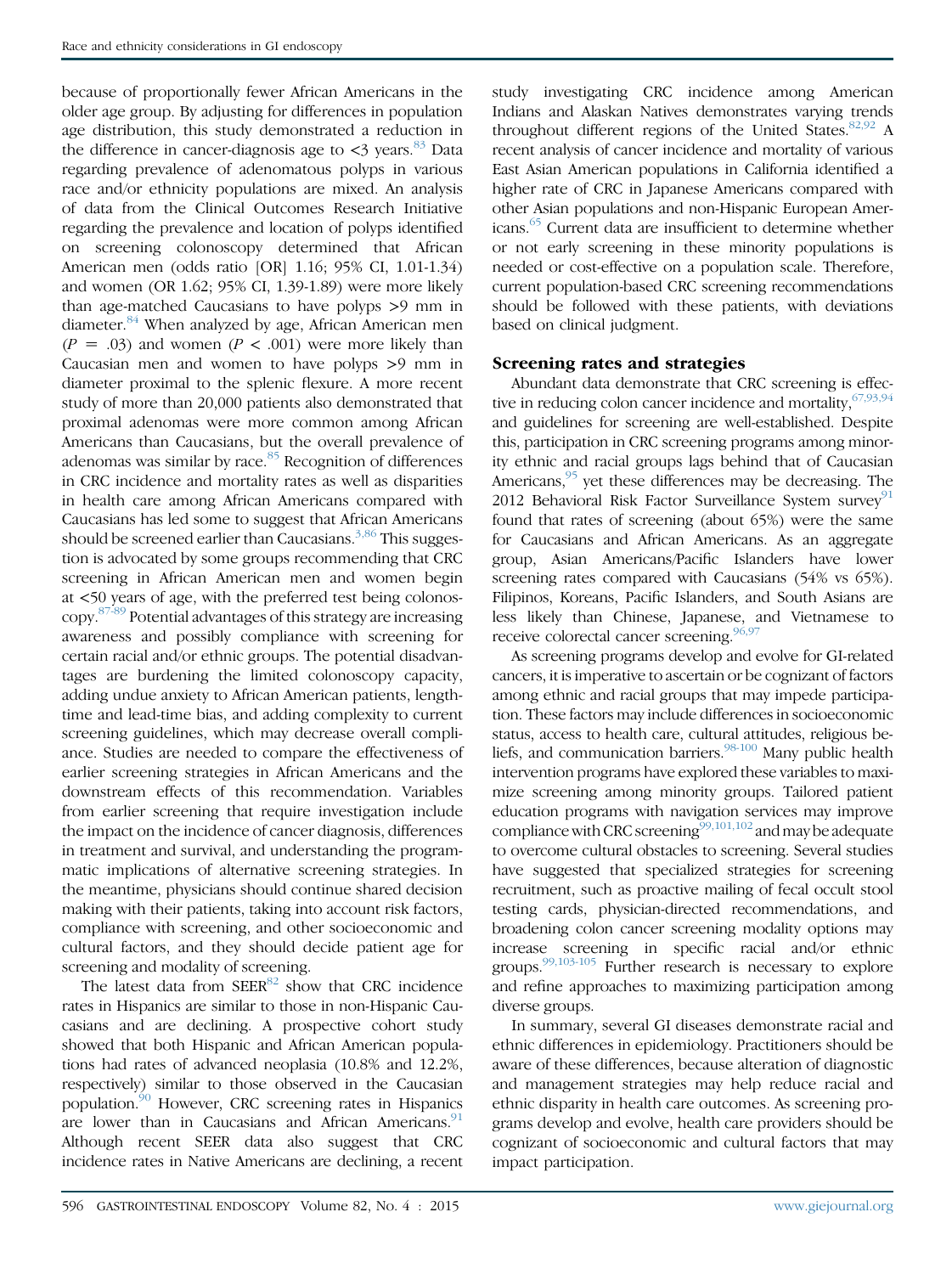because of proportionally fewer African Americans in the older age group. By adjusting for differences in population age distribution, this study demonstrated a reduction in the difference in cancer-diagnosis age to  $\lt3$  years.<sup>[83](#page-6-0)</sup> Data regarding prevalence of adenomatous polyps in various race and/or ethnicity populations are mixed. An analysis of data from the Clinical Outcomes Research Initiative regarding the prevalence and location of polyps identified on screening colonoscopy determined that African American men (odds ratio [OR] 1.16; 95% CI, 1.01-1.34) and women (OR 1.62; 95% CI, 1.39-1.89) were more likely than age-matched Caucasians to have polyps >9 mm in diameter.<sup>[84](#page-6-0)</sup> When analyzed by age, African American men  $(P = .03)$  and women  $(P < .001)$  were more likely than Caucasian men and women to have polyps >9 mm in diameter proximal to the splenic flexure. A more recent study of more than 20,000 patients also demonstrated that proximal adenomas were more common among African Americans than Caucasians, but the overall prevalence of adenomas was similar by race.<sup>[85](#page-6-0)</sup> Recognition of differences in CRC incidence and mortality rates as well as disparities in health care among African Americans compared with Caucasians has led some to suggest that African Americans should be screened earlier than Caucasians. $3,86$  This suggestion is advocated by some groups recommending that CRC screening in African American men and women begin at <50 years of age, with the preferred test being colonoscopy.[87-89](#page-6-0) Potential advantages of this strategy are increasing awareness and possibly compliance with screening for certain racial and/or ethnic groups. The potential disadvantages are burdening the limited colonoscopy capacity, adding undue anxiety to African American patients, lengthtime and lead-time bias, and adding complexity to current screening guidelines, which may decrease overall compliance. Studies are needed to compare the effectiveness of earlier screening strategies in African Americans and the downstream effects of this recommendation. Variables from earlier screening that require investigation include the impact on the incidence of cancer diagnosis, differences in treatment and survival, and understanding the programmatic implications of alternative screening strategies. In the meantime, physicians should continue shared decision making with their patients, taking into account risk factors, compliance with screening, and other socioeconomic and cultural factors, and they should decide patient age for screening and modality of screening.

The latest data from  $SEER^{82}$  show that CRC incidence rates in Hispanics are similar to those in non-Hispanic Caucasians and are declining. A prospective cohort study showed that both Hispanic and African American populations had rates of advanced neoplasia (10.8% and 12.2%, respectively) similar to those observed in the Caucasian population[.90](#page-6-0) However, CRC screening rates in Hispanics are lower than in Caucasians and African Americans.<sup>91</sup> Although recent SEER data also suggest that CRC incidence rates in Native Americans are declining, a recent study investigating CRC incidence among American Indians and Alaskan Natives demonstrates varying trends throughout different regions of the United States. $82,92$  A recent analysis of cancer incidence and mortality of various East Asian American populations in California identified a higher rate of CRC in Japanese Americans compared with other Asian populations and non-Hispanic European Americans.<sup>65</sup> Current data are insufficient to determine whether or not early screening in these minority populations is needed or cost-effective on a population scale. Therefore, current population-based CRC screening recommendations should be followed with these patients, with deviations based on clinical judgment.

## Screening rates and strategies

Abundant data demonstrate that CRC screening is effective in reducing colon cancer incidence and mortality,  $67,93,94$ and guidelines for screening are well-established. Despite this, participation in CRC screening programs among minority ethnic and racial groups lags behind that of Caucasian Americans,  $95$  yet these differences may be decreasing. The 2012 Behavioral Risk Factor Surveillance System survey<sup>[91](#page-6-0)</sup> found that rates of screening (about 65%) were the same for Caucasians and African Americans. As an aggregate group, Asian Americans/Pacific Islanders have lower screening rates compared with Caucasians (54% vs 65%). Filipinos, Koreans, Pacific Islanders, and South Asians are less likely than Chinese, Japanese, and Vietnamese to receive colorectal cancer screening. $96,97$ 

As screening programs develop and evolve for GI-related cancers, it is imperative to ascertain or be cognizant of factors among ethnic and racial groups that may impede participation. These factors may include differences in socioeconomic status, access to health care, cultural attitudes, religious beliefs, and communication barriers.<sup>98-100</sup> Many public health intervention programs have explored these variables to maximize screening among minority groups. Tailored patient education programs with navigation services may improve compliance with CRC screening<sup>[99,101,102](#page-6-0)</sup> and may be adequate to overcome cultural obstacles to screening. Several studies have suggested that specialized strategies for screening recruitment, such as proactive mailing of fecal occult stool testing cards, physician-directed recommendations, and broadening colon cancer screening modality options may increase screening in specific racial and/or ethnic groups. $99,103-105$  Further research is necessary to explore and refine approaches to maximizing participation among diverse groups.

In summary, several GI diseases demonstrate racial and ethnic differences in epidemiology. Practitioners should be aware of these differences, because alteration of diagnostic and management strategies may help reduce racial and ethnic disparity in health care outcomes. As screening programs develop and evolve, health care providers should be cognizant of socioeconomic and cultural factors that may impact participation.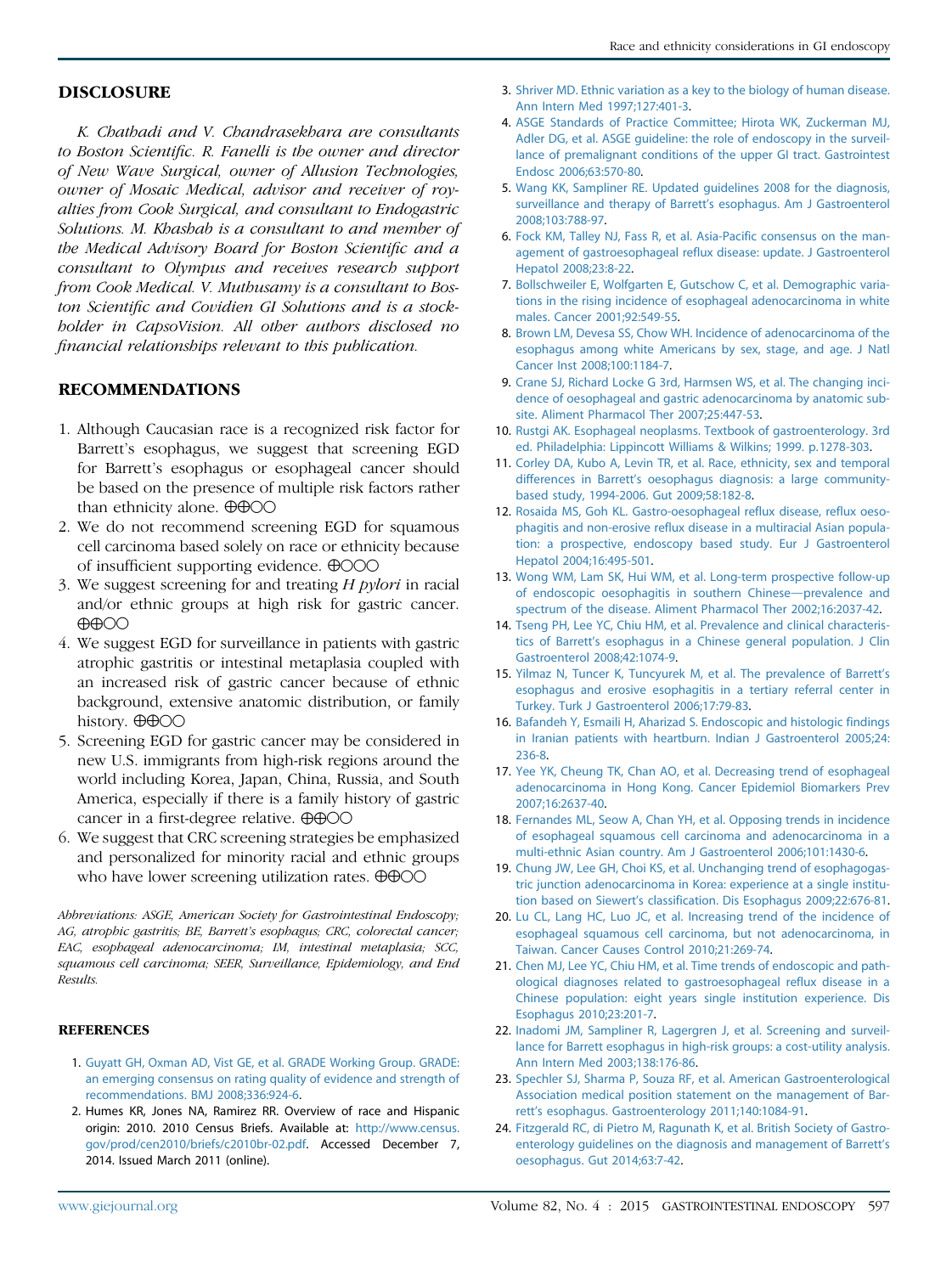#### <span id="page-4-0"></span>DISCLOSURE

K. Chathadi and V. Chandrasekhara are consultants to Boston Scientific. R. Fanelli is the owner and director of New Wave Surgical, owner of Allusion Technologies, owner of Mosaic Medical, advisor and receiver of royalties from Cook Surgical, and consultant to Endogastric Solutions. M. Khashab is a consultant to and member of the Medical Advisory Board for Boston Scientific and a consultant to Olympus and receives research support from Cook Medical. V. Muthusamy is a consultant to Boston Scientific and Covidien GI Solutions and is a stockholder in CapsoVision. All other authors disclosed no financial relationships relevant to this publication.

#### RECOMMENDATIONS

- 1. Although Caucasian race is a recognized risk factor for Barrett's esophagus, we suggest that screening EGD for Barrett's esophagus or esophageal cancer should be based on the presence of multiple risk factors rather than ethnicity alone.  $\oplus \oplus \odot \odot$
- 2. We do not recommend screening EGD for squamous cell carcinoma based solely on race or ethnicity because of insufficient supporting evidence.  $\bigoplus$ OOO
- 3. We suggest screening for and treating H pylori in racial and/or ethnic groups at high risk for gastric cancer.  $\bigoplus$  $\bigodot$
- 4. We suggest EGD for surveillance in patients with gastric atrophic gastritis or intestinal metaplasia coupled with an increased risk of gastric cancer because of ethnic background, extensive anatomic distribution, or family history.  $\oplus \oplus \odot \odot$
- 5. Screening EGD for gastric cancer may be considered in new U.S. immigrants from high-risk regions around the world including Korea, Japan, China, Russia, and South America, especially if there is a family history of gastric cancer in a first-degree relative.  $\oplus \oplus \odot \odot$
- 6. We suggest that CRC screening strategies be emphasized and personalized for minority racial and ethnic groups who have lower screening utilization rates.  $\oplus \oplus \odot \odot$

Abbreviations: ASGE, American Society for Gastrointestinal Endoscopy; AG, atrophic gastritis; BE, Barrett's esophagus; CRC, colorectal cancer; EAC, esophageal adenocarcinoma; IM, intestinal metaplasia; SCC, squamous cell carcinoma; SEER, Surveillance, Epidemiology, and End Results.

#### **REFERENCES**

- 1. [Guyatt GH, Oxman AD, Vist GE, et al. GRADE Working Group. GRADE:](http://refhub.elsevier.com/S0016-5107(15)02526-2/sref1) [an emerging consensus on rating quality of evidence and strength of](http://refhub.elsevier.com/S0016-5107(15)02526-2/sref1) [recommendations. BMJ 2008;336:924-6.](http://refhub.elsevier.com/S0016-5107(15)02526-2/sref1)
- 2. Humes KR, Jones NA, Ramirez RR. Overview of race and Hispanic origin: 2010. 2010 Census Briefs. Available at: [http://www.census.](http://www.census.gov/prod/cen2010/briefs/c2010br-02.pdf) [gov/prod/cen2010/briefs/c2010br-02.pdf](http://www.census.gov/prod/cen2010/briefs/c2010br-02.pdf). Accessed December 7, 2014. Issued March 2011 (online).
- 3. [Shriver MD. Ethnic variation as a key to the biology of human disease.](http://refhub.elsevier.com/S0016-5107(15)02526-2/sref3) [Ann Intern Med 1997;127:401-3](http://refhub.elsevier.com/S0016-5107(15)02526-2/sref3).
- 4. [ASGE Standards of Practice Committee; Hirota WK, Zuckerman MJ,](http://refhub.elsevier.com/S0016-5107(15)02526-2/sref4) [Adler DG, et al. ASGE guideline: the role of endoscopy in the surveil](http://refhub.elsevier.com/S0016-5107(15)02526-2/sref4)[lance of premalignant conditions of the upper GI tract. Gastrointest](http://refhub.elsevier.com/S0016-5107(15)02526-2/sref4) [Endosc 2006;63:570-80.](http://refhub.elsevier.com/S0016-5107(15)02526-2/sref4)
- 5. [Wang KK, Sampliner RE. Updated guidelines 2008 for the diagnosis,](http://refhub.elsevier.com/S0016-5107(15)02526-2/sref5) [surveillance and therapy of Barrett](http://refhub.elsevier.com/S0016-5107(15)02526-2/sref5)'s esophagus. Am J Gastroenterol [2008;103:788-97](http://refhub.elsevier.com/S0016-5107(15)02526-2/sref5).
- 6. [Fock KM, Talley NJ, Fass R, et al. Asia-Pacific consensus on the man](http://refhub.elsevier.com/S0016-5107(15)02526-2/sref6)[agement of gastroesophageal reflux disease: update. J Gastroenterol](http://refhub.elsevier.com/S0016-5107(15)02526-2/sref6) [Hepatol 2008;23:8-22.](http://refhub.elsevier.com/S0016-5107(15)02526-2/sref6)
- 7. [Bollschweiler E, Wolfgarten E, Gutschow C, et al. Demographic varia](http://refhub.elsevier.com/S0016-5107(15)02526-2/sref7)[tions in the rising incidence of esophageal adenocarcinoma in white](http://refhub.elsevier.com/S0016-5107(15)02526-2/sref7) [males. Cancer 2001;92:549-55](http://refhub.elsevier.com/S0016-5107(15)02526-2/sref7).
- 8. [Brown LM, Devesa SS, Chow WH. Incidence of adenocarcinoma of the](http://refhub.elsevier.com/S0016-5107(15)02526-2/sref8) [esophagus among white Americans by sex, stage, and age. J Natl](http://refhub.elsevier.com/S0016-5107(15)02526-2/sref8) [Cancer Inst 2008;100:1184-7](http://refhub.elsevier.com/S0016-5107(15)02526-2/sref8).
- 9. [Crane SJ, Richard Locke G 3rd, Harmsen WS, et al. The changing inci](http://refhub.elsevier.com/S0016-5107(15)02526-2/sref9)[dence of oesophageal and gastric adenocarcinoma by anatomic sub](http://refhub.elsevier.com/S0016-5107(15)02526-2/sref9)[site. Aliment Pharmacol Ther 2007;25:447-53.](http://refhub.elsevier.com/S0016-5107(15)02526-2/sref9)
- 10. [Rustgi AK. Esophageal neoplasms. Textbook of gastroenterology. 3rd](http://refhub.elsevier.com/S0016-5107(15)02526-2/sref10) [ed. Philadelphia: Lippincott Williams & Wilkins; 1999. p.1278-303](http://refhub.elsevier.com/S0016-5107(15)02526-2/sref10).
- 11. [Corley DA, Kubo A, Levin TR, et al. Race, ethnicity, sex and temporal](http://refhub.elsevier.com/S0016-5107(15)02526-2/sref11) differences in Barrett'[s oesophagus diagnosis: a large community](http://refhub.elsevier.com/S0016-5107(15)02526-2/sref11)[based study, 1994-2006. Gut 2009;58:182-8.](http://refhub.elsevier.com/S0016-5107(15)02526-2/sref11)
- 12. [Rosaida MS, Goh KL. Gastro-oesophageal reflux disease, reflux oeso](http://refhub.elsevier.com/S0016-5107(15)02526-2/sref12)[phagitis and non-erosive reflux disease in a multiracial Asian popula](http://refhub.elsevier.com/S0016-5107(15)02526-2/sref12)[tion: a prospective, endoscopy based study. Eur J Gastroenterol](http://refhub.elsevier.com/S0016-5107(15)02526-2/sref12) [Hepatol 2004;16:495-501](http://refhub.elsevier.com/S0016-5107(15)02526-2/sref12).
- 13. [Wong WM, Lam SK, Hui WM, et al. Long-term prospective follow-up](http://refhub.elsevier.com/S0016-5107(15)02526-2/sref13) [of endoscopic oesophagitis in southern Chinese](http://refhub.elsevier.com/S0016-5107(15)02526-2/sref13)-prevalence and [spectrum of the disease. Aliment Pharmacol Ther 2002;16:2037-42.](http://refhub.elsevier.com/S0016-5107(15)02526-2/sref13)
- 14. [Tseng PH, Lee YC, Chiu HM, et al. Prevalence and clinical characteris](http://refhub.elsevier.com/S0016-5107(15)02526-2/sref14)tics of Barrett'[s esophagus in a Chinese general population. J Clin](http://refhub.elsevier.com/S0016-5107(15)02526-2/sref14) [Gastroenterol 2008;42:1074-9](http://refhub.elsevier.com/S0016-5107(15)02526-2/sref14).
- 15. [Yilmaz N, Tuncer K, Tuncyurek M, et al. The prevalence of Barrett](http://refhub.elsevier.com/S0016-5107(15)02526-2/sref15)'s [esophagus and erosive esophagitis in a tertiary referral center in](http://refhub.elsevier.com/S0016-5107(15)02526-2/sref15) [Turkey. Turk J Gastroenterol 2006;17:79-83](http://refhub.elsevier.com/S0016-5107(15)02526-2/sref15).
- 16. [Bafandeh Y, Esmaili H, Aharizad S. Endoscopic and histologic findings](http://refhub.elsevier.com/S0016-5107(15)02526-2/sref16) [in Iranian patients with heartburn. Indian J Gastroenterol 2005;24:](http://refhub.elsevier.com/S0016-5107(15)02526-2/sref16) [236-8.](http://refhub.elsevier.com/S0016-5107(15)02526-2/sref16)
- 17. [Yee YK, Cheung TK, Chan AO, et al. Decreasing trend of esophageal](http://refhub.elsevier.com/S0016-5107(15)02526-2/sref17) [adenocarcinoma in Hong Kong. Cancer Epidemiol Biomarkers Prev](http://refhub.elsevier.com/S0016-5107(15)02526-2/sref17) [2007;16:2637-40](http://refhub.elsevier.com/S0016-5107(15)02526-2/sref17).
- 18. [Fernandes ML, Seow A, Chan YH, et al. Opposing trends in incidence](http://refhub.elsevier.com/S0016-5107(15)02526-2/sref18) [of esophageal squamous cell carcinoma and adenocarcinoma in a](http://refhub.elsevier.com/S0016-5107(15)02526-2/sref18) [multi-ethnic Asian country. Am J Gastroenterol 2006;101:1430-6.](http://refhub.elsevier.com/S0016-5107(15)02526-2/sref18)
- 19. [Chung JW, Lee GH, Choi KS, et al. Unchanging trend of esophagogas](http://refhub.elsevier.com/S0016-5107(15)02526-2/sref19)[tric junction adenocarcinoma in Korea: experience at a single institu](http://refhub.elsevier.com/S0016-5107(15)02526-2/sref19)tion based on Siewert'[s classification. Dis Esophagus 2009;22:676-81](http://refhub.elsevier.com/S0016-5107(15)02526-2/sref19).
- 20. [Lu CL, Lang HC, Luo JC, et al. Increasing trend of the incidence of](http://refhub.elsevier.com/S0016-5107(15)02526-2/sref20) [esophageal squamous cell carcinoma, but not adenocarcinoma, in](http://refhub.elsevier.com/S0016-5107(15)02526-2/sref20) [Taiwan. Cancer Causes Control 2010;21:269-74](http://refhub.elsevier.com/S0016-5107(15)02526-2/sref20).
- 21. [Chen MJ, Lee YC, Chiu HM, et al. Time trends of endoscopic and path](http://refhub.elsevier.com/S0016-5107(15)02526-2/sref21)[ological diagnoses related to gastroesophageal reflux disease in a](http://refhub.elsevier.com/S0016-5107(15)02526-2/sref21) [Chinese population: eight years single institution experience. Dis](http://refhub.elsevier.com/S0016-5107(15)02526-2/sref21) [Esophagus 2010;23:201-7.](http://refhub.elsevier.com/S0016-5107(15)02526-2/sref21)
- 22. [Inadomi JM, Sampliner R, Lagergren J, et al. Screening and surveil](http://refhub.elsevier.com/S0016-5107(15)02526-2/sref22)[lance for Barrett esophagus in high-risk groups: a cost-utility analysis.](http://refhub.elsevier.com/S0016-5107(15)02526-2/sref22) [Ann Intern Med 2003;138:176-86](http://refhub.elsevier.com/S0016-5107(15)02526-2/sref22).
- 23. [Spechler SJ, Sharma P, Souza RF, et al. American Gastroenterological](http://refhub.elsevier.com/S0016-5107(15)02526-2/sref23) [Association medical position statement on the management of Bar](http://refhub.elsevier.com/S0016-5107(15)02526-2/sref23)rett'[s esophagus. Gastroenterology 2011;140:1084-91.](http://refhub.elsevier.com/S0016-5107(15)02526-2/sref23)
- 24. [Fitzgerald RC, di Pietro M, Ragunath K, et al. British Society of Gastro](http://refhub.elsevier.com/S0016-5107(15)02526-2/sref24)[enterology guidelines on the diagnosis and management of Barrett](http://refhub.elsevier.com/S0016-5107(15)02526-2/sref24)'s [oesophagus. Gut 2014;63:7-42](http://refhub.elsevier.com/S0016-5107(15)02526-2/sref24).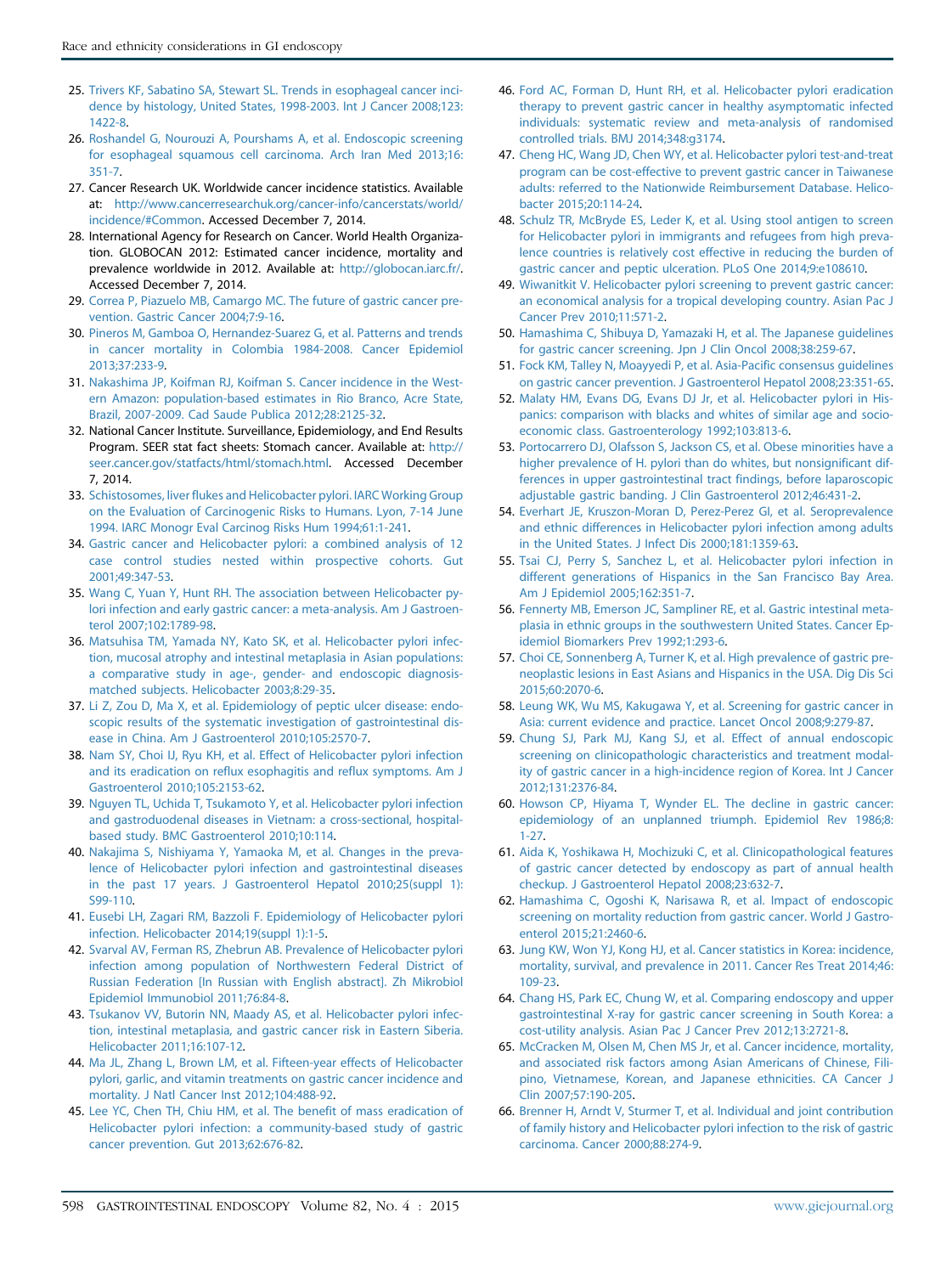- <span id="page-5-0"></span>25. [Trivers KF, Sabatino SA, Stewart SL. Trends in esophageal cancer inci](http://refhub.elsevier.com/S0016-5107(15)02526-2/sref25)[dence by histology, United States, 1998-2003. Int J Cancer 2008;123:](http://refhub.elsevier.com/S0016-5107(15)02526-2/sref25) [1422-8](http://refhub.elsevier.com/S0016-5107(15)02526-2/sref25).
- 26. [Roshandel G, Nourouzi A, Pourshams A, et al. Endoscopic screening](http://refhub.elsevier.com/S0016-5107(15)02526-2/sref26) [for esophageal squamous cell carcinoma. Arch Iran Med 2013;16:](http://refhub.elsevier.com/S0016-5107(15)02526-2/sref26) [351-7](http://refhub.elsevier.com/S0016-5107(15)02526-2/sref26).
- 27. Cancer Research UK. Worldwide cancer incidence statistics. Available at: [http://www.cancerresearchuk.org/cancer-info/cancerstats/world/](http://www.cancerresearchuk.org/cancer-info/cancerstats/world/incidence/#Common) [incidence/#Common](http://www.cancerresearchuk.org/cancer-info/cancerstats/world/incidence/#Common). Accessed December 7, 2014.
- 28. International Agency for Research on Cancer. World Health Organization. GLOBOCAN 2012: Estimated cancer incidence, mortality and prevalence worldwide in 2012. Available at: <http://globocan.iarc.fr/>. Accessed December 7, 2014.
- 29. [Correa P, Piazuelo MB, Camargo MC. The future of gastric cancer pre](http://refhub.elsevier.com/S0016-5107(15)02526-2/sref29)[vention. Gastric Cancer 2004;7:9-16.](http://refhub.elsevier.com/S0016-5107(15)02526-2/sref29)
- 30. [Pineros M, Gamboa O, Hernandez-Suarez G, et al. Patterns and trends](http://refhub.elsevier.com/S0016-5107(15)02526-2/sref30) [in cancer mortality in Colombia 1984-2008. Cancer Epidemiol](http://refhub.elsevier.com/S0016-5107(15)02526-2/sref30) [2013;37:233-9.](http://refhub.elsevier.com/S0016-5107(15)02526-2/sref30)
- 31. [Nakashima JP, Koifman RJ, Koifman S. Cancer incidence in the West](http://refhub.elsevier.com/S0016-5107(15)02526-2/sref31)[ern Amazon: population-based estimates in Rio Branco, Acre State,](http://refhub.elsevier.com/S0016-5107(15)02526-2/sref31) [Brazil, 2007-2009. Cad Saude Publica 2012;28:2125-32](http://refhub.elsevier.com/S0016-5107(15)02526-2/sref31).
- 32. National Cancer Institute. Surveillance, Epidemiology, and End Results Program. SEER stat fact sheets: Stomach cancer. Available at: [http://](http://seer.cancer.gov/statfacts/html/stomach.html) [seer.cancer.gov/statfacts/html/stomach.html](http://seer.cancer.gov/statfacts/html/stomach.html). Accessed December 7, 2014.
- 33. [Schistosomes, liver flukes and Helicobacter pylori. IARC Working Group](http://refhub.elsevier.com/S0016-5107(15)02526-2/sref33) [on the Evaluation of Carcinogenic Risks to Humans. Lyon, 7-14 June](http://refhub.elsevier.com/S0016-5107(15)02526-2/sref33) [1994. IARC Monogr Eval Carcinog Risks Hum 1994;61:1-241.](http://refhub.elsevier.com/S0016-5107(15)02526-2/sref33)
- 34. [Gastric cancer and Helicobacter pylori: a combined analysis of 12](http://refhub.elsevier.com/S0016-5107(15)02526-2/sref34) [case control studies nested within prospective cohorts. Gut](http://refhub.elsevier.com/S0016-5107(15)02526-2/sref34) [2001;49:347-53.](http://refhub.elsevier.com/S0016-5107(15)02526-2/sref34)
- 35. [Wang C, Yuan Y, Hunt RH. The association between Helicobacter py](http://refhub.elsevier.com/S0016-5107(15)02526-2/sref35)[lori infection and early gastric cancer: a meta-analysis. Am J Gastroen](http://refhub.elsevier.com/S0016-5107(15)02526-2/sref35)[terol 2007;102:1789-98.](http://refhub.elsevier.com/S0016-5107(15)02526-2/sref35)
- 36. [Matsuhisa TM, Yamada NY, Kato SK, et al. Helicobacter pylori infec](http://refhub.elsevier.com/S0016-5107(15)02526-2/sref36)[tion, mucosal atrophy and intestinal metaplasia in Asian populations:](http://refhub.elsevier.com/S0016-5107(15)02526-2/sref36) [a comparative study in age-, gender- and endoscopic diagnosis](http://refhub.elsevier.com/S0016-5107(15)02526-2/sref36)[matched subjects. Helicobacter 2003;8:29-35](http://refhub.elsevier.com/S0016-5107(15)02526-2/sref36).
- 37. [Li Z, Zou D, Ma X, et al. Epidemiology of peptic ulcer disease: endo](http://refhub.elsevier.com/S0016-5107(15)02526-2/sref37)[scopic results of the systematic investigation of gastrointestinal dis](http://refhub.elsevier.com/S0016-5107(15)02526-2/sref37)[ease in China. Am J Gastroenterol 2010;105:2570-7.](http://refhub.elsevier.com/S0016-5107(15)02526-2/sref37)
- 38. [Nam SY, Choi IJ, Ryu KH, et al. Effect of Helicobacter pylori infection](http://refhub.elsevier.com/S0016-5107(15)02526-2/sref38) [and its eradication on reflux esophagitis and reflux symptoms. Am J](http://refhub.elsevier.com/S0016-5107(15)02526-2/sref38) [Gastroenterol 2010;105:2153-62.](http://refhub.elsevier.com/S0016-5107(15)02526-2/sref38)
- 39. [Nguyen TL, Uchida T, Tsukamoto Y, et al. Helicobacter pylori infection](http://refhub.elsevier.com/S0016-5107(15)02526-2/sref39) [and gastroduodenal diseases in Vietnam: a cross-sectional, hospital](http://refhub.elsevier.com/S0016-5107(15)02526-2/sref39)[based study. BMC Gastroenterol 2010;10:114.](http://refhub.elsevier.com/S0016-5107(15)02526-2/sref39)
- 40. [Nakajima S, Nishiyama Y, Yamaoka M, et al. Changes in the preva](http://refhub.elsevier.com/S0016-5107(15)02526-2/sref40)[lence of Helicobacter pylori infection and gastrointestinal diseases](http://refhub.elsevier.com/S0016-5107(15)02526-2/sref40) [in the past 17 years. J Gastroenterol Hepatol 2010;25\(suppl 1\):](http://refhub.elsevier.com/S0016-5107(15)02526-2/sref40) [S99-110](http://refhub.elsevier.com/S0016-5107(15)02526-2/sref40).
- 41. [Eusebi LH, Zagari RM, Bazzoli F. Epidemiology of Helicobacter pylori](http://refhub.elsevier.com/S0016-5107(15)02526-2/sref41) [infection. Helicobacter 2014;19\(suppl 1\):1-5.](http://refhub.elsevier.com/S0016-5107(15)02526-2/sref41)
- 42. [Svarval AV, Ferman RS, Zhebrun AB. Prevalence of Helicobacter pylori](http://refhub.elsevier.com/S0016-5107(15)02526-2/sref42) [infection among population of Northwestern Federal District of](http://refhub.elsevier.com/S0016-5107(15)02526-2/sref42) [Russian Federation \[In Russian with English abstract\]. Zh Mikrobiol](http://refhub.elsevier.com/S0016-5107(15)02526-2/sref42) [Epidemiol Immunobiol 2011;76:84-8.](http://refhub.elsevier.com/S0016-5107(15)02526-2/sref42)
- 43. [Tsukanov VV, Butorin NN, Maady AS, et al. Helicobacter pylori infec](http://refhub.elsevier.com/S0016-5107(15)02526-2/sref43)[tion, intestinal metaplasia, and gastric cancer risk in Eastern Siberia.](http://refhub.elsevier.com/S0016-5107(15)02526-2/sref43) [Helicobacter 2011;16:107-12](http://refhub.elsevier.com/S0016-5107(15)02526-2/sref43).
- 44. [Ma JL, Zhang L, Brown LM, et al. Fifteen-year effects of Helicobacter](http://refhub.elsevier.com/S0016-5107(15)02526-2/sref44) [pylori, garlic, and vitamin treatments on gastric cancer incidence and](http://refhub.elsevier.com/S0016-5107(15)02526-2/sref44) [mortality. J Natl Cancer Inst 2012;104:488-92.](http://refhub.elsevier.com/S0016-5107(15)02526-2/sref44)
- 45. [Lee YC, Chen TH, Chiu HM, et al. The benefit of mass eradication of](http://refhub.elsevier.com/S0016-5107(15)02526-2/sref45) [Helicobacter pylori infection: a community-based study of gastric](http://refhub.elsevier.com/S0016-5107(15)02526-2/sref45) [cancer prevention. Gut 2013;62:676-82.](http://refhub.elsevier.com/S0016-5107(15)02526-2/sref45)
- 46. [Ford AC, Forman D, Hunt RH, et al. Helicobacter pylori eradication](http://refhub.elsevier.com/S0016-5107(15)02526-2/sref46) [therapy to prevent gastric cancer in healthy asymptomatic infected](http://refhub.elsevier.com/S0016-5107(15)02526-2/sref46) [individuals: systematic review and meta-analysis of randomised](http://refhub.elsevier.com/S0016-5107(15)02526-2/sref46) [controlled trials. BMJ 2014;348:g3174](http://refhub.elsevier.com/S0016-5107(15)02526-2/sref46).
- 47. [Cheng HC, Wang JD, Chen WY, et al. Helicobacter pylori test-and-treat](http://refhub.elsevier.com/S0016-5107(15)02526-2/sref47) [program can be cost-effective to prevent gastric cancer in Taiwanese](http://refhub.elsevier.com/S0016-5107(15)02526-2/sref47) [adults: referred to the Nationwide Reimbursement Database. Helico](http://refhub.elsevier.com/S0016-5107(15)02526-2/sref47)[bacter 2015;20:114-24.](http://refhub.elsevier.com/S0016-5107(15)02526-2/sref47)
- 48. [Schulz TR, McBryde ES, Leder K, et al. Using stool antigen to screen](http://refhub.elsevier.com/S0016-5107(15)02526-2/sref48) [for Helicobacter pylori in immigrants and refugees from high preva](http://refhub.elsevier.com/S0016-5107(15)02526-2/sref48)[lence countries is relatively cost effective in reducing the burden of](http://refhub.elsevier.com/S0016-5107(15)02526-2/sref48) [gastric cancer and peptic ulceration. PLoS One 2014;9:e108610](http://refhub.elsevier.com/S0016-5107(15)02526-2/sref48).
- 49. [Wiwanitkit V. Helicobacter pylori screening to prevent gastric cancer:](http://refhub.elsevier.com/S0016-5107(15)02526-2/sref49) [an economical analysis for a tropical developing country. Asian Pac J](http://refhub.elsevier.com/S0016-5107(15)02526-2/sref49) [Cancer Prev 2010;11:571-2](http://refhub.elsevier.com/S0016-5107(15)02526-2/sref49).
- 50. [Hamashima C, Shibuya D, Yamazaki H, et al. The Japanese guidelines](http://refhub.elsevier.com/S0016-5107(15)02526-2/sref50) [for gastric cancer screening. Jpn J Clin Oncol 2008;38:259-67](http://refhub.elsevier.com/S0016-5107(15)02526-2/sref50).
- 51. [Fock KM, Talley N, Moayyedi P, et al. Asia-Pacific consensus guidelines](http://refhub.elsevier.com/S0016-5107(15)02526-2/sref51) [on gastric cancer prevention. J Gastroenterol Hepatol 2008;23:351-65.](http://refhub.elsevier.com/S0016-5107(15)02526-2/sref51)
- 52. [Malaty HM, Evans DG, Evans DJ Jr, et al. Helicobacter pylori in His](http://refhub.elsevier.com/S0016-5107(15)02526-2/sref52)[panics: comparison with blacks and whites of similar age and socio](http://refhub.elsevier.com/S0016-5107(15)02526-2/sref52)[economic class. Gastroenterology 1992;103:813-6](http://refhub.elsevier.com/S0016-5107(15)02526-2/sref52).
- 53. [Portocarrero DJ, Olafsson S, Jackson CS, et al. Obese minorities have a](http://refhub.elsevier.com/S0016-5107(15)02526-2/sref53) [higher prevalence of H. pylori than do whites, but nonsignificant dif](http://refhub.elsevier.com/S0016-5107(15)02526-2/sref53)[ferences in upper gastrointestinal tract findings, before laparoscopic](http://refhub.elsevier.com/S0016-5107(15)02526-2/sref53) [adjustable gastric banding. J Clin Gastroenterol 2012;46:431-2](http://refhub.elsevier.com/S0016-5107(15)02526-2/sref53).
- 54. [Everhart JE, Kruszon-Moran D, Perez-Perez GI, et al. Seroprevalence](http://refhub.elsevier.com/S0016-5107(15)02526-2/sref54) [and ethnic differences in Helicobacter pylori infection among adults](http://refhub.elsevier.com/S0016-5107(15)02526-2/sref54) [in the United States. J Infect Dis 2000;181:1359-63.](http://refhub.elsevier.com/S0016-5107(15)02526-2/sref54)
- 55. [Tsai CJ, Perry S, Sanchez L, et al. Helicobacter pylori infection in](http://refhub.elsevier.com/S0016-5107(15)02526-2/sref55) [different generations of Hispanics in the San Francisco Bay Area.](http://refhub.elsevier.com/S0016-5107(15)02526-2/sref55) [Am J Epidemiol 2005;162:351-7.](http://refhub.elsevier.com/S0016-5107(15)02526-2/sref55)
- 56. [Fennerty MB, Emerson JC, Sampliner RE, et al. Gastric intestinal meta](http://refhub.elsevier.com/S0016-5107(15)02526-2/sref56)[plasia in ethnic groups in the southwestern United States. Cancer Ep](http://refhub.elsevier.com/S0016-5107(15)02526-2/sref56)[idemiol Biomarkers Prev 1992;1:293-6](http://refhub.elsevier.com/S0016-5107(15)02526-2/sref56).
- 57. [Choi CE, Sonnenberg A, Turner K, et al. High prevalence of gastric pre](http://refhub.elsevier.com/S0016-5107(15)02526-2/sref57)[neoplastic lesions in East Asians and Hispanics in the USA. Dig Dis Sci](http://refhub.elsevier.com/S0016-5107(15)02526-2/sref57) [2015;60:2070-6](http://refhub.elsevier.com/S0016-5107(15)02526-2/sref57).
- 58. [Leung WK, Wu MS, Kakugawa Y, et al. Screening for gastric cancer in](http://refhub.elsevier.com/S0016-5107(15)02526-2/sref58) [Asia: current evidence and practice. Lancet Oncol 2008;9:279-87](http://refhub.elsevier.com/S0016-5107(15)02526-2/sref58).
- 59. [Chung SJ, Park MJ, Kang SJ, et al. Effect of annual endoscopic](http://refhub.elsevier.com/S0016-5107(15)02526-2/sref59) [screening on clinicopathologic characteristics and treatment modal](http://refhub.elsevier.com/S0016-5107(15)02526-2/sref59)[ity of gastric cancer in a high-incidence region of Korea. Int J Cancer](http://refhub.elsevier.com/S0016-5107(15)02526-2/sref59) [2012;131:2376-84.](http://refhub.elsevier.com/S0016-5107(15)02526-2/sref59)
- 60. [Howson CP, Hiyama T, Wynder EL. The decline in gastric cancer:](http://refhub.elsevier.com/S0016-5107(15)02526-2/sref60) [epidemiology of an unplanned triumph. Epidemiol Rev 1986;8:](http://refhub.elsevier.com/S0016-5107(15)02526-2/sref60) [1-27.](http://refhub.elsevier.com/S0016-5107(15)02526-2/sref60)
- 61. [Aida K, Yoshikawa H, Mochizuki C, et al. Clinicopathological features](http://refhub.elsevier.com/S0016-5107(15)02526-2/sref61) [of gastric cancer detected by endoscopy as part of annual health](http://refhub.elsevier.com/S0016-5107(15)02526-2/sref61) [checkup. J Gastroenterol Hepatol 2008;23:632-7.](http://refhub.elsevier.com/S0016-5107(15)02526-2/sref61)
- 62. [Hamashima C, Ogoshi K, Narisawa R, et al. Impact of endoscopic](http://refhub.elsevier.com/S0016-5107(15)02526-2/sref62) [screening on mortality reduction from gastric cancer. World J Gastro](http://refhub.elsevier.com/S0016-5107(15)02526-2/sref62)[enterol 2015;21:2460-6.](http://refhub.elsevier.com/S0016-5107(15)02526-2/sref62)
- 63. [Jung KW, Won YJ, Kong HJ, et al. Cancer statistics in Korea: incidence,](http://refhub.elsevier.com/S0016-5107(15)02526-2/sref63) [mortality, survival, and prevalence in 2011. Cancer Res Treat 2014;46:](http://refhub.elsevier.com/S0016-5107(15)02526-2/sref63) [109-23.](http://refhub.elsevier.com/S0016-5107(15)02526-2/sref63)
- 64. [Chang HS, Park EC, Chung W, et al. Comparing endoscopy and upper](http://refhub.elsevier.com/S0016-5107(15)02526-2/sref64) [gastrointestinal X-ray for gastric cancer screening in South Korea: a](http://refhub.elsevier.com/S0016-5107(15)02526-2/sref64) [cost-utility analysis. Asian Pac J Cancer Prev 2012;13:2721-8.](http://refhub.elsevier.com/S0016-5107(15)02526-2/sref64)
- 65. [McCracken M, Olsen M, Chen MS Jr, et al. Cancer incidence, mortality,](http://refhub.elsevier.com/S0016-5107(15)02526-2/sref65) [and associated risk factors among Asian Americans of Chinese, Fili](http://refhub.elsevier.com/S0016-5107(15)02526-2/sref65)[pino, Vietnamese, Korean, and Japanese ethnicities. CA Cancer J](http://refhub.elsevier.com/S0016-5107(15)02526-2/sref65) [Clin 2007;57:190-205.](http://refhub.elsevier.com/S0016-5107(15)02526-2/sref65)
- 66. [Brenner H, Arndt V, Sturmer T, et al. Individual and joint contribution](http://refhub.elsevier.com/S0016-5107(15)02526-2/sref66) [of family history and Helicobacter pylori infection to the risk of gastric](http://refhub.elsevier.com/S0016-5107(15)02526-2/sref66) [carcinoma. Cancer 2000;88:274-9.](http://refhub.elsevier.com/S0016-5107(15)02526-2/sref66)